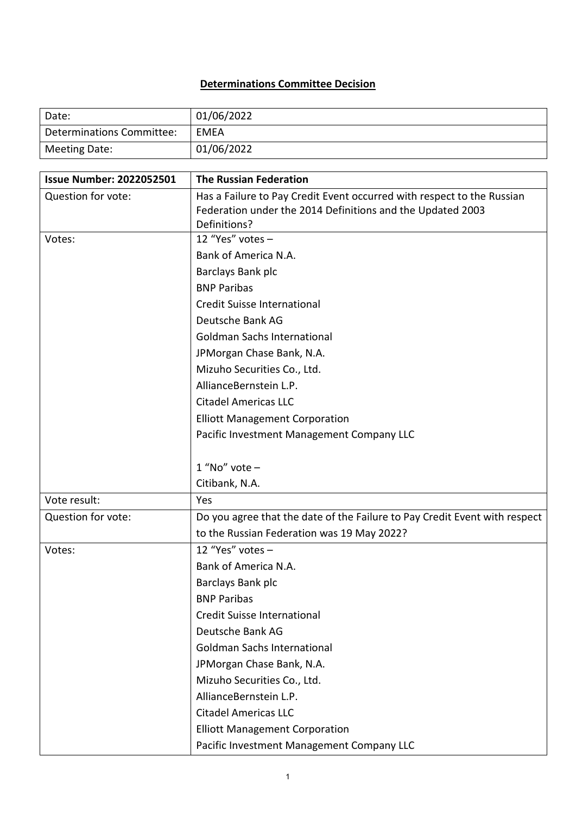## **Determinations Committee Decision**

| Date:                     | 01/06/2022 |
|---------------------------|------------|
| Determinations Committee: | EMEA       |
| Meeting Date:             | 01/06/2022 |

| <b>Issue Number: 2022052501</b> | <b>The Russian Federation</b>                                              |
|---------------------------------|----------------------------------------------------------------------------|
| Question for vote:              | Has a Failure to Pay Credit Event occurred with respect to the Russian     |
|                                 | Federation under the 2014 Definitions and the Updated 2003                 |
|                                 | Definitions?                                                               |
| Votes:                          | 12 "Yes" votes -                                                           |
|                                 | Bank of America N.A.                                                       |
|                                 | Barclays Bank plc                                                          |
|                                 | <b>BNP Paribas</b>                                                         |
|                                 | Credit Suisse International                                                |
|                                 | Deutsche Bank AG                                                           |
|                                 | <b>Goldman Sachs International</b>                                         |
|                                 | JPMorgan Chase Bank, N.A.                                                  |
|                                 | Mizuho Securities Co., Ltd.                                                |
|                                 | AllianceBernstein L.P.                                                     |
|                                 | <b>Citadel Americas LLC</b>                                                |
|                                 | <b>Elliott Management Corporation</b>                                      |
|                                 | Pacific Investment Management Company LLC                                  |
|                                 |                                                                            |
|                                 | $1$ "No" vote -                                                            |
|                                 | Citibank, N.A.                                                             |
| Vote result:                    | Yes                                                                        |
| Question for vote:              | Do you agree that the date of the Failure to Pay Credit Event with respect |
|                                 | to the Russian Federation was 19 May 2022?                                 |
| Votes:                          | 12 "Yes" votes -                                                           |
|                                 | Bank of America N.A.                                                       |
|                                 | Barclays Bank plc                                                          |
|                                 | <b>BNP Paribas</b>                                                         |
|                                 | Credit Suisse International                                                |
|                                 | Deutsche Bank AG                                                           |
|                                 | <b>Goldman Sachs International</b>                                         |
|                                 | JPMorgan Chase Bank, N.A.                                                  |
|                                 | Mizuho Securities Co., Ltd.                                                |
|                                 | AllianceBernstein L.P.                                                     |
|                                 | <b>Citadel Americas LLC</b>                                                |
|                                 | <b>Elliott Management Corporation</b>                                      |
|                                 | Pacific Investment Management Company LLC                                  |